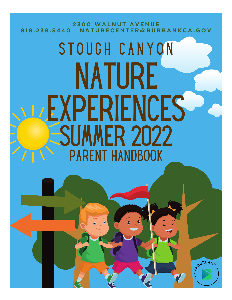**2300 WALNUT AVENUE** 818.238.5440 | NATURECENTER@BURBANKCA.GOV

# STOUGH CANYON NATURE LEXPERIENCES **MER 2022 PARENT HANDBOOK**

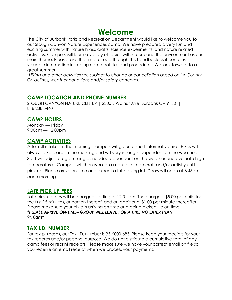# **Welcome**

The City of Burbank Parks and Recreation Department would like to welcome you to our Stough Canyon Nature Experiences camp. We have prepared a very fun and exciting summer with nature hikes, crafts, science experiments, and nature related activities. Campers will learn a variety of topics with nature and the environment as our main theme. Please take the time to read through this handbook as it contains valuable information including camp policies and procedures. We look forward to a great summer!

*\*Hiking and other activities are subject to change or cancellation based on LA County Guidelines, weather conditions and/or safety concerns.* 

#### **CAMP LOCATION AND PHONE NUMBER**

STOUGH CANYON NATURE CENTER | 2300 E Walnut Ave, Burbank CA 91501| 818.238.5440

#### **CAMP HOURS**

Monday — Friday 9:00am — 12:00pm

#### **CAMP ACTIVITIES**

After roll is taken in the morning, campers will go on a short informative hike. Hikes will always take place in the morning and will vary in length dependent on the weather. Staff will adjust programming as needed dependent on the weather and evaluate high temperatures. Campers will then work on a nature related craft and/or activity until pick-up. Please arrive on-time and expect a full parking lot. Doors will open at 8:45am each morning.

#### **LATE PICK UP FEES**

Late pick up fees will be charged starting at 12:01 pm. The charge is \$5.00 per child for the first 15 minutes, or portion thereof, and an additional \$1.00 per minute thereafter. Please make sure your child is arriving on time and being picked up on time. *\*PLEASE ARRIVE ON-TIME– GROUP WILL LEAVE FOR A HIKE NO LATER THAN 9:10am\**

#### **TAX I.D. NUMBER**

For tax purposes, our Tax I.D. number is 95-6000-683. Please keep your receipts for your tax records and/or personal purpose. We do not distribute a cumulative total of day camp fees or reprint receipts. Please make sure we have your correct email on file so you receive an email receipt when we process your payments.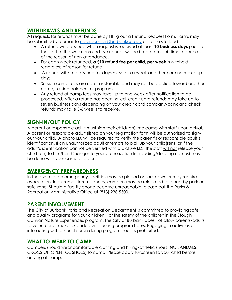# **WITHDRAWLS AND REFUNDS**

All requests for refunds must be done by filling out a Refund Request Form. Forms may be submitted via email to [naturecenter@burbankca.gov](mailto:naturecenter@burbankca.gov) or to the site lead.

- A refund will be issued when request is received at least **10 business days** prior to the start of the week enrolled. No refunds will be issued after this time regardless of the reason of non-attendance.
- For each week refunded, **a \$10 refund fee per child, per week** is withheld regardless of reason for refund.
- A refund will not be issued for days missed in a week and there are no make-up days.
- Session camp fees are non-transferable and may not be applied toward another camp, session balance, or program.
- Any refund of camp fees may take up to one week after notification to be processed. After a refund has been issued, credit card refunds may take up to seven business days depending on your credit card company/bank and check refunds may take 3-6 weeks to receive.

# **SIGN-IN/OUT POLICY**

A parent or responsible adult must sign their child(ren) into camp with staff upon arrival. A parent or responsible adult (listed on your registration form will be authorized to signout your child. A photo I.D. will be required to verify the parent's or responsible adult's identification. If an unauthorized adult attempts to pick up your child(ren), or if the adult's identification cannot be verified with a picture I.D., the staff will not release your child(ren) to him/her. Changes to your authorization list (adding/deleting names) may be done with your camp director.

#### **EMERGENCY PREPAREDNESS**

In the event of an emergency, facilities may be placed on lockdown or may require evacuation. In extreme circumstances, campers may be relocated to a nearby park or safe zone. Should a facility phone become unreachable, please call the Parks & Recreation Administrative Office at (818) 238-5300.

#### **PARENT INVOLVEMENT**

The City of Burbank Parks and Recreation Department is committed to providing safe and quality programs for your children. For the safety of the children in the Stough Canyon Nature Experiences program, the City of Burbank does not allow parents/adults to volunteer or make extended visits during program hours. Engaging in activities or interacting with other children during program hours is prohibited.

#### **WHAT TO WEAR TO CAMP**

Campers should wear comfortable clothing and hiking/athletic shoes (NO SANDALS, CROCS OR OPEN TOE SHOES) to camp. Please apply sunscreen to your child before arriving at camp.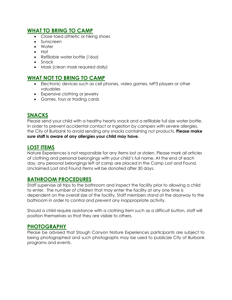#### **WHAT TO BRING TO CAMP**

- Close-toed athletic or hiking shoes
- Sunscreen
- Water
- Hat
- Refillable water bottle (16oz)
- Snack
- Mask (clean mask required daily)

#### **WHAT NOT TO BRING TO CAMP**

- Electronic devices such as cell phones, video games, MP3 players or other valuables
- Expensive clothing or jewelry
- Games, toys or trading cards

# **SNACKS**

Please send your child with a healthy hearty snack and a refillable full size water bottle. In order to prevent accidental contact or ingestion by campers with severe allergies, the City of Burbank to avoid sending any snacks containing nut products. **Please make sure staff is aware of any allergies your child may have.**

#### **LOST ITEMS**

Nature Experiences is not responsible for any items lost or stolen. Please mark all articles of clothing and personal belongings with your child's full name. At the end of each day, any personal belongings left at camp are placed in the Camp Lost and Found. Unclaimed Lost and Found Items will be donated after 30 days.

#### **BATHROOM PROCEDURES**

Staff supervise all trips to the bathroom and inspect the facility prior to allowing a child to enter. The number of children that may enter the facility at any one time is dependent on the overall size of the facility. Staff members stand at the doorway to the bathroom in order to control and prevent any inappropriate activity.

Should a child require assistance with a clothing item such as a difficult button, staff will position themselves so that they are visible to others.

#### **PHOTOGRAPHY**

Please be advised that Stough Canyon Nature Experiences participants are subject to being photographed and such photographs may be used to publicize City of Burbank programs and events.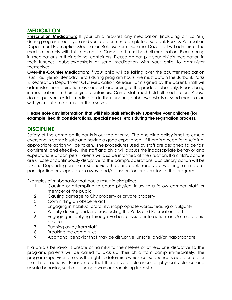#### **MEDICATION**

**Prescription Medication:** If your child requires any medication (including an EpiPen) during program hours, you and your doctor must complete a Burbank Parks & Recreation Department Prescription Medication Release Form. Summer Daze staff will administer the medication only with this form on file. Camp staff must hold all medication. Please bring in medications in their original containers. Please do not put your child's medication in their lunches, cubbies/baskets or send medication with your child to administer themselves.

**Over-the-Counter Medication:** If your child will be taking over the counter medication (such as Tylenol, Benadryl, etc.) during program hours, we must obtain the Burbank Parks & Recreation Department OTC Medication Release Form signed by the parent. Staff will administer the medication, as needed, according to the product label only. Please bring in medications in their original containers. Camp staff must hold all medication. Please do not put your child's medication in their lunches, cubbies/baskets or send medication with your child to administer themselves.

#### **Please note any information that will help staff effectively supervise your children (for example: health considerations, special needs, etc.) during the registration process.**

#### **DISCIPLINE**

Safety of the camp participants is our top priority. The discipline policy is set to ensure everyone in camp is safe and having a good experience. If there is a need for discipline, appropriate action will be taken. The procedures used by staff are designed to be fair, consistent, and effective. The staff and child will discuss the inappropriate behavior and expectations of campers. Parents will also be informed of the situation. If a child's actions are unsafe or continuously disruptive to the camp's operations, disciplinary action will be taken. Depending on the misbehavior, the child could receive a warning, a time-out, participation privileges taken away, and/or suspension or expulsion of the program.

Examples of misbehavior that could result in discipline:

- 1. Causing or attempting to cause physical injury to a fellow camper, staff, or member of the public
- 2. Causing damage to City property or private property
- 3. Committing an obscene act
- 4. Engaging in habitual profanity, inappropriate words, teasing or vulgarity
- 5. Willfully defying and/or disrespecting the Parks and Recreation staff
- 6. Engaging in bullying through verbal, physical interaction and/or electronic device
- 7. Running away from staff
- 8. Breaking the camp rules
- 9. Additional behavior that may be disruptive, unsafe, and/or inappropriate

If a child's behavior is unsafe or harmful to themselves or others, or is disruptive to the program, parents will be called to pick up their child from camp immediately. The program supervisor reserves the right to determine which consequence is appropriate for the child's actions. Please note that there is zero tolerance for physical violence and unsafe behavior, such as running away and/or hiding from staff.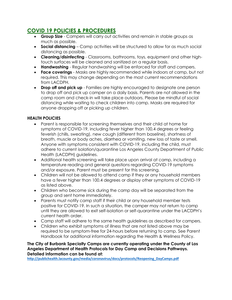# **COVID 19 POLICIES & PROCEDURES**

- **Group Size** Campers will carry out activities and remain in stable groups as much as possible.
- **Social distancing** Camp activities will be structured to allow for as much social distancing as possible.
- **Cleaning/disinfecting** Classrooms, bathrooms, toys, equipment and other hightouch surfaces will be cleaned and sanitized on a regular basis.
- **Handwashing** Regular handwashing will be enforced for staff and campers.
- **Face coverings** Masks are highly recommended while indoors at camp, but not required. This may change depending on the most current recommendations from LACDPH.
- **Drop off and pick up** Families are highly encouraged to designate one person to drop off and pick up camper on a daily basis. Parents are not allowed in the camp room and check-in will take place outdoors. Please be mindful of social distancing while waiting to check children into camp. Masks are required for anyone dropping off or picking up children.

#### **HEALTH POLICIES**

- Parent is responsible for screening themselves and their child at home for symptoms of COVID-19, including fever higher than 100.4 degrees or feeling feverish (chills, sweating), new cough (different from baseline), shortness of breath, muscle or body aches, diarrhea or vomiting, new loss of taste or smell. Anyone with symptoms consistent with COVID-19, including the child, must adhere to current isolation/quarantine Los Angeles County Department of Public Health (LACDPH) guidelines.
- Additional health screening will take place upon arrival at camp, including a temperature reading and general questions regarding COVID-19 symptoms and/or exposure. Parent must be present for this screening.
- Children will not be allowed to attend camp if they or any household members have a fever higher than 100.4 degrees or display other symptoms of COVID-19 as listed above.
- Children who become sick during the camp day will be separated from the group and sent home immediately.
- Parents must notify camp staff if their child or any household member tests positive for COVID-19. In such a situation, the camper may not return to camp until they are allowed to exit self-isolation or self-quarantine under the LACDPH's current health order.
- Camp staff will adhere to the same health guidelines as described for campers.
- Children who exhibit symptoms of illness that are not listed above may be required to be symptom-free for 24-hours before returning to camp. See Parent Handbook for additional information regarding the Health & Wellness Policy.

**The City of Burbank Specialty Camps are currently operating under the County of Los Angeles Department of Health Protocols for Day Camp and Decisions Pathways. Detailed information can be found at:**

**[http://publichealth.lacounty.gov/media/coronavirus/docs/protocols/Reopening\\_DayCamps.pdf](http://publichealth.lacounty.gov/media/coronavirus/docs/protocols/Reopening_DayCamps.pdf)**